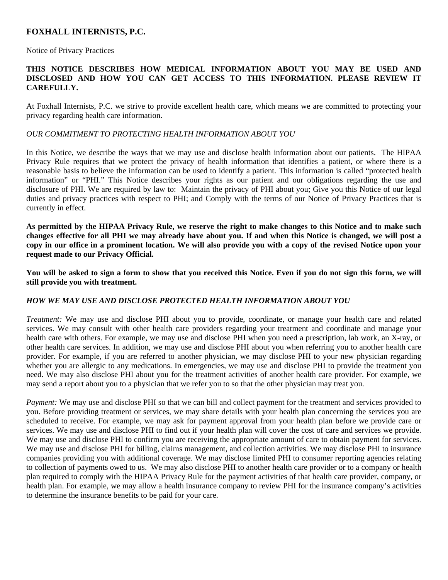# **FOXHALL INTERNISTS, P.C.**

Notice of Privacy Practices

## **THIS NOTICE DESCRIBES HOW MEDICAL INFORMATION ABOUT YOU MAY BE USED AND DISCLOSED AND HOW YOU CAN GET ACCESS TO THIS INFORMATION. PLEASE REVIEW IT CAREFULLY.**

At Foxhall Internists, P.C. we strive to provide excellent health care, which means we are committed to protecting your privacy regarding health care information.

#### *OUR COMMITMENT TO PROTECTING HEALTH INFORMATION ABOUT YOU*

In this Notice, we describe the ways that we may use and disclose health information about our patients. The HIPAA Privacy Rule requires that we protect the privacy of health information that identifies a patient, or where there is a reasonable basis to believe the information can be used to identify a patient. This information is called "protected health information" or "PHI." This Notice describes your rights as our patient and our obligations regarding the use and disclosure of PHI. We are required by law to: Maintain the privacy of PHI about you; Give you this Notice of our legal duties and privacy practices with respect to PHI; and Comply with the terms of our Notice of Privacy Practices that is currently in effect.

**As permitted by the HIPAA Privacy Rule, we reserve the right to make changes to this Notice and to make such changes effective for all PHI we may already have about you. If and when this Notice is changed, we will post a copy in our office in a prominent location. We will also provide you with a copy of the revised Notice upon your request made to our Privacy Official.** 

**You will be asked to sign a form to show that you received this Notice. Even if you do not sign this form, we will still provide you with treatment.** 

## *HOW WE MAY USE AND DISCLOSE PROTECTED HEALTH INFORMATION ABOUT YOU*

*Treatment:* We may use and disclose PHI about you to provide, coordinate, or manage your health care and related services. We may consult with other health care providers regarding your treatment and coordinate and manage your health care with others. For example, we may use and disclose PHI when you need a prescription, lab work, an X-ray, or other health care services. In addition, we may use and disclose PHI about you when referring you to another health care provider. For example, if you are referred to another physician, we may disclose PHI to your new physician regarding whether you are allergic to any medications. In emergencies, we may use and disclose PHI to provide the treatment you need. We may also disclose PHI about you for the treatment activities of another health care provider. For example, we may send a report about you to a physician that we refer you to so that the other physician may treat you.

*Payment:* We may use and disclose PHI so that we can bill and collect payment for the treatment and services provided to you. Before providing treatment or services, we may share details with your health plan concerning the services you are scheduled to receive. For example, we may ask for payment approval from your health plan before we provide care or services. We may use and disclose PHI to find out if your health plan will cover the cost of care and services we provide. We may use and disclose PHI to confirm you are receiving the appropriate amount of care to obtain payment for services. We may use and disclose PHI for billing, claims management, and collection activities. We may disclose PHI to insurance companies providing you with additional coverage. We may disclose limited PHI to consumer reporting agencies relating to collection of payments owed to us. We may also disclose PHI to another health care provider or to a company or health plan required to comply with the HIPAA Privacy Rule for the payment activities of that health care provider, company, or health plan. For example, we may allow a health insurance company to review PHI for the insurance company's activities to determine the insurance benefits to be paid for your care.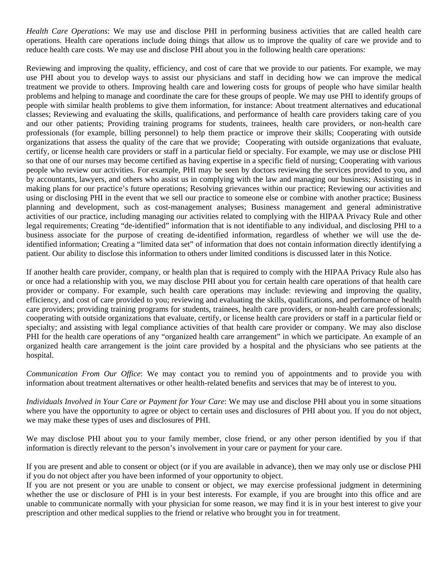*Health Care Operations*: We may use and disclose PHI in performing business activities that are called health care operations. Health care operations include doing things that allow us to improve the quality of care we provide and to reduce health care costs. We may use and disclose PHI about you in the following health care operations:

Reviewing and improving the quality, efficiency, and cost of care that we provide to our patients. For example, we may use PHI about you to develop ways to assist our physicians and staff in deciding how we can improve the medical treatment we provide to others. Improving health care and lowering costs for groups of people who have similar health problems and helping to manage and coordinate the care for these groups of people. We may use PHI to identify groups of people with similar health problems to give them information, for instance: About treatment alternatives and educational classes; Reviewing and evaluating the skills, qualifications, and performance of health care providers taking care of you and our other patients; Providing training programs for students, trainees, health care providers, or non-health care professionals (for example, billing personnel) to help them practice or improve their skills; Cooperating with outside organizations that assess the quality of the care that we provide; Cooperating with outside organizations that evaluate, certify, or license health care providers or staff in a particular field or specialty. For example, we may use or disclose PHI so that one of our nurses may become certified as having expertise in a specific field of nursing; Cooperating with various people who review our activities. For example, PHI may be seen by doctors reviewing the services provided to you, and by accountants, lawyers, and others who assist us in complying with the law and managing our business; Assisting us in making plans for our practice's future operations; Resolving grievances within our practice; Reviewing our activities and using or disclosing PHI in the event that we sell our practice to someone else or combine with another practice; Business planning and development, such as cost-management analyses; Business management and general administrative activities of our practice, including managing our activities related to complying with the HIPAA Privacy Rule and other legal requirements; Creating "de-identified" information that is not identifiable to any individual, and disclosing PHI to a business associate for the purpose of creating de-identified information, regardless of whether we will use the deidentified information; Creating a "limited data set" of information that does not contain information directly identifying a patient. Our ability to disclose this information to others under limited conditions is discussed later in this Notice.

If another health care provider, company, or health plan that is required to comply with the HIPAA Privacy Rule also has or once had a relationship with you, we may disclose PHI about you for certain health care operations of that health care provider or company. For example, such health care operations may include: reviewing and improving the quality, efficiency, and cost of care provided to you; reviewing and evaluating the skills, qualifications, and performance of health care providers; providing training programs for students, trainees, health care providers, or non-health care professionals; cooperating with outside organizations that evaluate, certify, or license health care providers or staff in a particular field or specialty; and assisting with legal compliance activities of that health care provider or company. We may also disclose PHI for the health care operations of any "organized health care arrangement" in which we participate. An example of an organized health care arrangement is the joint care provided by a hospital and the physicians who see patients at the hospital.

*Communication From Our Office*: We may contact you to remind you of appointments and to provide you with information about treatment alternatives or other health-related benefits and services that may be of interest to you.

*Individuals Involved in Your Care or Payment for Your Care*: We may use and disclose PHI about you in some situations where you have the opportunity to agree or object to certain uses and disclosures of PHI about you. If you do not object, we may make these types of uses and disclosures of PHI.

We may disclose PHI about you to your family member, close friend, or any other person identified by you if that information is directly relevant to the person's involvement in your care or payment for your care.

If you are present and able to consent or object (or if you are available in advance), then we may only use or disclose PHI if you do not object after you have been informed of your opportunity to object.

If you are not present or you are unable to consent or object, we may exercise professional judgment in determining whether the use or disclosure of PHI is in your best interests. For example, if you are brought into this office and are unable to communicate normally with your physician for some reason, we may find it is in your best interest to give your prescription and other medical supplies to the friend or relative who brought you in for treatment.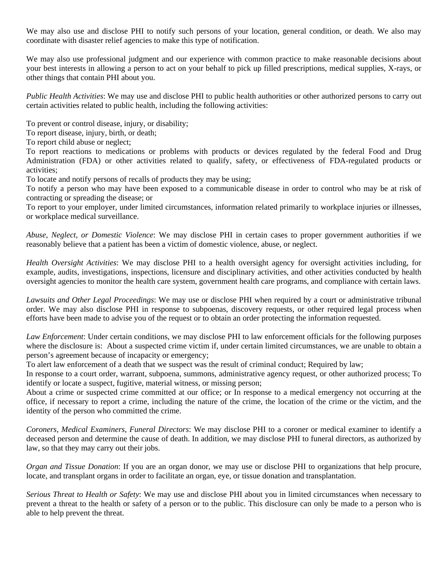We may also use and disclose PHI to notify such persons of your location, general condition, or death. We also may coordinate with disaster relief agencies to make this type of notification.

We may also use professional judgment and our experience with common practice to make reasonable decisions about your best interests in allowing a person to act on your behalf to pick up filled prescriptions, medical supplies, X-rays, or other things that contain PHI about you.

*Public Health Activities*: We may use and disclose PHI to public health authorities or other authorized persons to carry out certain activities related to public health, including the following activities:

To prevent or control disease, injury, or disability;

To report disease, injury, birth, or death;

To report child abuse or neglect;

To report reactions to medications or problems with products or devices regulated by the federal Food and Drug Administration (FDA) or other activities related to qualify, safety, or effectiveness of FDA-regulated products or activities;

To locate and notify persons of recalls of products they may be using;

To notify a person who may have been exposed to a communicable disease in order to control who may be at risk of contracting or spreading the disease; or

To report to your employer, under limited circumstances, information related primarily to workplace injuries or illnesses, or workplace medical surveillance.

*Abuse, Neglect, or Domestic Violence*: We may disclose PHI in certain cases to proper government authorities if we reasonably believe that a patient has been a victim of domestic violence, abuse, or neglect.

*Health Oversight Activities*: We may disclose PHI to a health oversight agency for oversight activities including, for example, audits, investigations, inspections, licensure and disciplinary activities, and other activities conducted by health oversight agencies to monitor the health care system, government health care programs, and compliance with certain laws.

*Lawsuits and Other Legal Proceedings*: We may use or disclose PHI when required by a court or administrative tribunal order. We may also disclose PHI in response to subpoenas, discovery requests, or other required legal process when efforts have been made to advise you of the request or to obtain an order protecting the information requested.

*Law Enforcement*: Under certain conditions, we may disclose PHI to law enforcement officials for the following purposes where the disclosure is: About a suspected crime victim if, under certain limited circumstances, we are unable to obtain a person's agreement because of incapacity or emergency;

To alert law enforcement of a death that we suspect was the result of criminal conduct; Required by law;

In response to a court order, warrant, subpoena, summons, administrative agency request, or other authorized process; To identify or locate a suspect, fugitive, material witness, or missing person;

About a crime or suspected crime committed at our office; or In response to a medical emergency not occurring at the office, if necessary to report a crime, including the nature of the crime, the location of the crime or the victim, and the identity of the person who committed the crime.

*Coroners, Medical Examiners, Funeral Directors*: We may disclose PHI to a coroner or medical examiner to identify a deceased person and determine the cause of death. In addition, we may disclose PHI to funeral directors, as authorized by law, so that they may carry out their jobs.

*Organ and Tissue Donation*: If you are an organ donor, we may use or disclose PHI to organizations that help procure, locate, and transplant organs in order to facilitate an organ, eye, or tissue donation and transplantation.

*Serious Threat to Health or Safety*: We may use and disclose PHI about you in limited circumstances when necessary to prevent a threat to the health or safety of a person or to the public. This disclosure can only be made to a person who is able to help prevent the threat.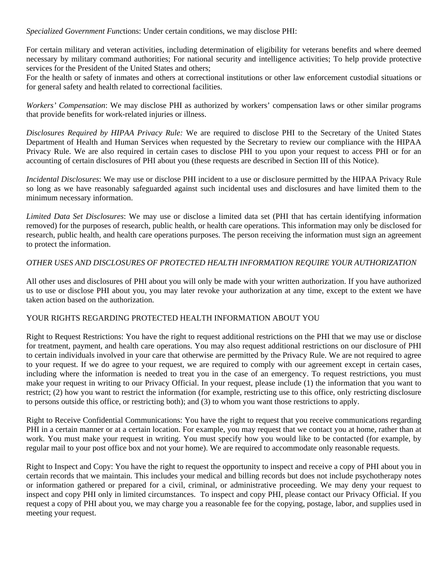*Specialized Government Func*tions: Under certain conditions, we may disclose PHI:

For certain military and veteran activities, including determination of eligibility for veterans benefits and where deemed necessary by military command authorities; For national security and intelligence activities; To help provide protective services for the President of the United States and others;

For the health or safety of inmates and others at correctional institutions or other law enforcement custodial situations or for general safety and health related to correctional facilities.

*Workers' Compensation*: We may disclose PHI as authorized by workers' compensation laws or other similar programs that provide benefits for work-related injuries or illness.

*Disclosures Required by HIPAA Privacy Rule:* We are required to disclose PHI to the Secretary of the United States Department of Health and Human Services when requested by the Secretary to review our compliance with the HIPAA Privacy Rule. We are also required in certain cases to disclose PHI to you upon your request to access PHI or for an accounting of certain disclosures of PHI about you (these requests are described in Section III of this Notice).

*Incidental Disclosures*: We may use or disclose PHI incident to a use or disclosure permitted by the HIPAA Privacy Rule so long as we have reasonably safeguarded against such incidental uses and disclosures and have limited them to the minimum necessary information.

*Limited Data Set Disclosures*: We may use or disclose a limited data set (PHI that has certain identifying information removed) for the purposes of research, public health, or health care operations. This information may only be disclosed for research, public health, and health care operations purposes. The person receiving the information must sign an agreement to protect the information.

## *OTHER USES AND DISCLOSURES OF PROTECTED HEALTH INFORMATION REQUIRE YOUR AUTHORIZATION*

All other uses and disclosures of PHI about you will only be made with your written authorization. If you have authorized us to use or disclose PHI about you, you may later revoke your authorization at any time, except to the extent we have taken action based on the authorization.

## YOUR RIGHTS REGARDING PROTECTED HEALTH INFORMATION ABOUT YOU

Right to Request Restrictions: You have the right to request additional restrictions on the PHI that we may use or disclose for treatment, payment, and health care operations. You may also request additional restrictions on our disclosure of PHI to certain individuals involved in your care that otherwise are permitted by the Privacy Rule. We are not required to agree to your request. If we do agree to your request, we are required to comply with our agreement except in certain cases, including where the information is needed to treat you in the case of an emergency. To request restrictions, you must make your request in writing to our Privacy Official. In your request, please include (1) the information that you want to restrict; (2) how you want to restrict the information (for example, restricting use to this office, only restricting disclosure to persons outside this office, or restricting both); and (3) to whom you want those restrictions to apply.

Right to Receive Confidential Communications: You have the right to request that you receive communications regarding PHI in a certain manner or at a certain location. For example, you may request that we contact you at home, rather than at work. You must make your request in writing. You must specify how you would like to be contacted (for example, by regular mail to your post office box and not your home). We are required to accommodate only reasonable requests.

Right to Inspect and Copy: You have the right to request the opportunity to inspect and receive a copy of PHI about you in certain records that we maintain. This includes your medical and billing records but does not include psychotherapy notes or information gathered or prepared for a civil, criminal, or administrative proceeding. We may deny your request to inspect and copy PHI only in limited circumstances. To inspect and copy PHI, please contact our Privacy Official. If you request a copy of PHI about you, we may charge you a reasonable fee for the copying, postage, labor, and supplies used in meeting your request.